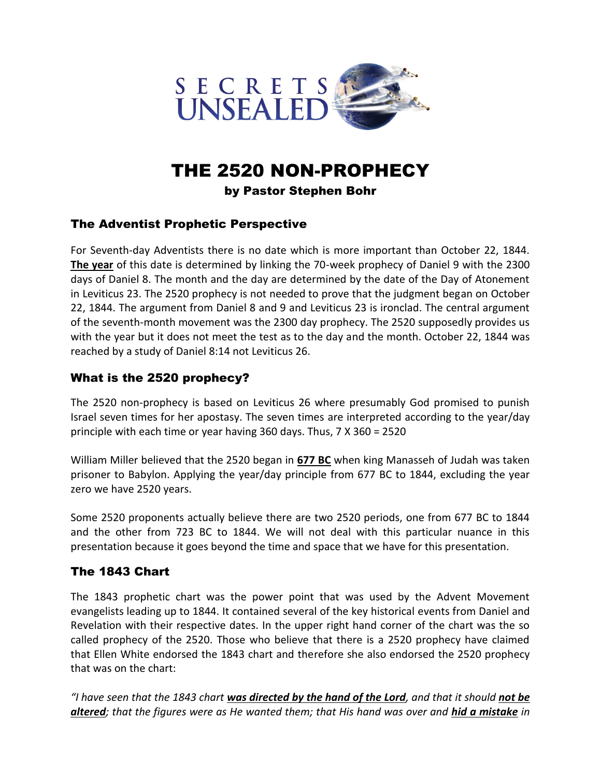

# THE 2520 NON-PROPHECY

#### by Pastor Stephen Bohr

# The Adventist Prophetic Perspective

For Seventh-day Adventists there is no date which is more important than October 22, 1844. **The year** of this date is determined by linking the 70-week prophecy of Daniel 9 with the 2300 days of Daniel 8. The month and the day are determined by the date of the Day of Atonement in Leviticus 23. The 2520 prophecy is not needed to prove that the judgment began on October 22, 1844. The argument from Daniel 8 and 9 and Leviticus 23 is ironclad. The central argument of the seventh-month movement was the 2300 day prophecy. The 2520 supposedly provides us with the year but it does not meet the test as to the day and the month. October 22, 1844 was reached by a study of Daniel 8:14 not Leviticus 26.

# What is the 2520 prophecy?

The 2520 non-prophecy is based on Leviticus 26 where presumably God promised to punish Israel seven times for her apostasy. The seven times are interpreted according to the year/day principle with each time or year having 360 days. Thus, 7 X 360 = 2520

William Miller believed that the 2520 began in **677 BC** when king Manasseh of Judah was taken prisoner to Babylon. Applying the year/day principle from 677 BC to 1844, excluding the year zero we have 2520 years.

Some 2520 proponents actually believe there are two 2520 periods, one from 677 BC to 1844 and the other from 723 BC to 1844. We will not deal with this particular nuance in this presentation because it goes beyond the time and space that we have for this presentation.

# The 1843 Chart

The 1843 prophetic chart was the power point that was used by the Advent Movement evangelists leading up to 1844. It contained several of the key historical events from Daniel and Revelation with their respective dates. In the upper right hand corner of the chart was the so called prophecy of the 2520. Those who believe that there is a 2520 prophecy have claimed that Ellen White endorsed the 1843 chart and therefore she also endorsed the 2520 prophecy that was on the chart:

*"I have seen that the 1843 chart was directed by the hand of the Lord, and that it should not be altered; that the figures were as He wanted them; that His hand was over and hid a mistake in*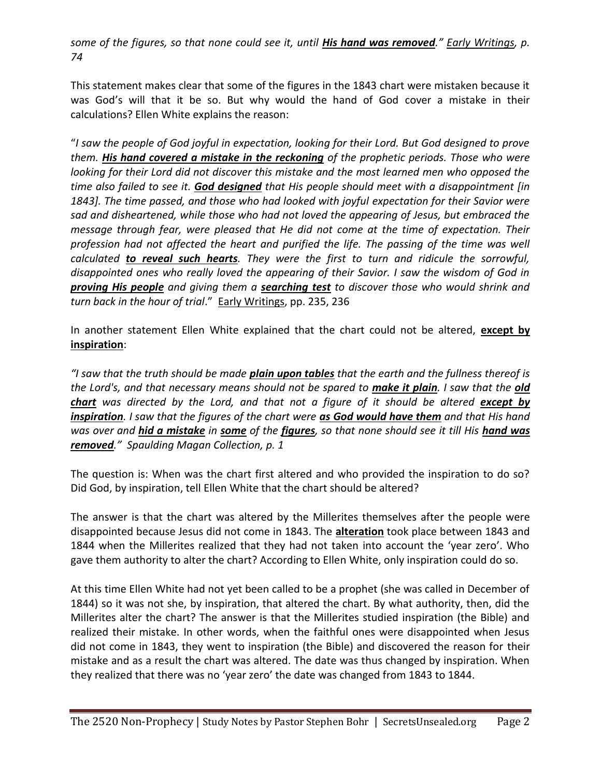*some of the figures, so that none could see it, until His hand was removed." Early Writings, p. 74*

This statement makes clear that some of the figures in the 1843 chart were mistaken because it was God's will that it be so. But why would the hand of God cover a mistake in their calculations? Ellen White explains the reason:

"*I saw the people of God joyful in expectation, looking for their Lord. But God designed to prove them. His hand covered a mistake in the reckoning of the prophetic periods. Those who were looking for their Lord did not discover this mistake and the most learned men who opposed the time also failed to see it. God designed that His people should meet with a disappointment [in 1843]. The time passed, and those who had looked with joyful expectation for their Savior were sad and disheartened, while those who had not loved the appearing of Jesus, but embraced the message through fear, were pleased that He did not come at the time of expectation. Their profession had not affected the heart and purified the life. The passing of the time was well calculated to reveal such hearts. They were the first to turn and ridicule the sorrowful, disappointed ones who really loved the appearing of their Savior. I saw the wisdom of God in proving His people and giving them a searching test to discover those who would shrink and turn back in the hour of trial*." Early Writings, pp. 235, 236

In another statement Ellen White explained that the chart could not be altered, **except by inspiration**:

*"I saw that the truth should be made plain upon tables that the earth and the fullness thereof is the Lord's, and that necessary means should not be spared to make it plain. I saw that the old*  **chart** was directed by the Lord, and that not a figure of it should be altered **except by** *inspiration. I saw that the figures of the chart were as God would have them and that His hand was over and hid a mistake in some of the figures, so that none should see it till His hand was removed." Spaulding Magan Collection, p. 1*

The question is: When was the chart first altered and who provided the inspiration to do so? Did God, by inspiration, tell Ellen White that the chart should be altered?

The answer is that the chart was altered by the Millerites themselves after the people were disappointed because Jesus did not come in 1843. The **alteration** took place between 1843 and 1844 when the Millerites realized that they had not taken into account the 'year zero'. Who gave them authority to alter the chart? According to Ellen White, only inspiration could do so.

At this time Ellen White had not yet been called to be a prophet (she was called in December of 1844) so it was not she, by inspiration, that altered the chart. By what authority, then, did the Millerites alter the chart? The answer is that the Millerites studied inspiration (the Bible) and realized their mistake. In other words, when the faithful ones were disappointed when Jesus did not come in 1843, they went to inspiration (the Bible) and discovered the reason for their mistake and as a result the chart was altered. The date was thus changed by inspiration. When they realized that there was no 'year zero' the date was changed from 1843 to 1844.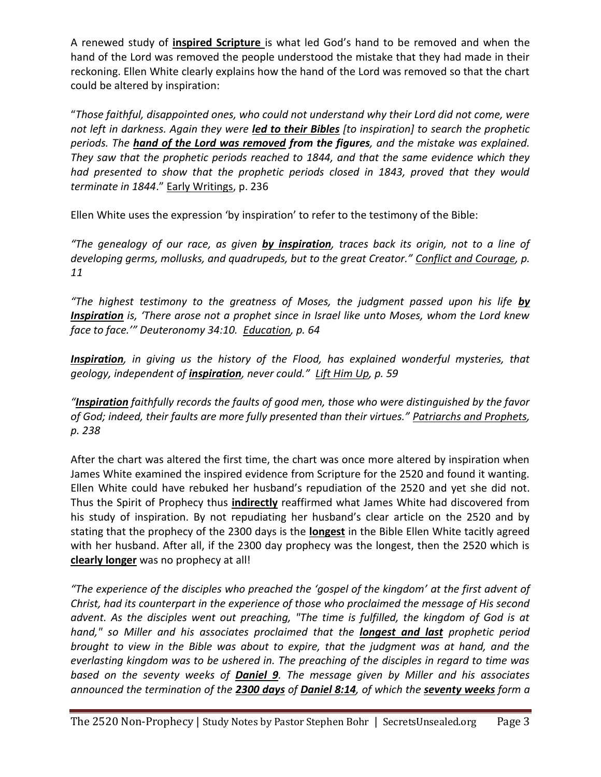A renewed study of **inspired Scripture** is what led God's hand to be removed and when the hand of the Lord was removed the people understood the mistake that they had made in their reckoning. Ellen White clearly explains how the hand of the Lord was removed so that the chart could be altered by inspiration:

"*Those faithful, disappointed ones, who could not understand why their Lord did not come, were not left in darkness. Again they were led to their Bibles [to inspiration] to search the prophetic periods. The hand of the Lord was removed from the figures, and the mistake was explained. They saw that the prophetic periods reached to 1844, and that the same evidence which they had presented to show that the prophetic periods closed in 1843, proved that they would terminate in 1844*." Early Writings, p. 236

Ellen White uses the expression 'by inspiration' to refer to the testimony of the Bible:

*"The genealogy of our race, as given by inspiration, traces back its origin, not to a line of developing germs, mollusks, and quadrupeds, but to the great Creator." Conflict and Courage, p. 11*

*"The highest testimony to the greatness of Moses, the judgment passed upon his life by Inspiration is, 'There arose not a prophet since in Israel like unto Moses, whom the Lord knew face to face.'" Deuteronomy 34:10. Education, p. 64*

*Inspiration, in giving us the history of the Flood, has explained wonderful mysteries, that geology, independent of inspiration, never could." Lift Him Up, p. 59*

*"Inspiration faithfully records the faults of good men, those who were distinguished by the favor of God; indeed, their faults are more fully presented than their virtues." Patriarchs and Prophets, p. 238*

After the chart was altered the first time, the chart was once more altered by inspiration when James White examined the inspired evidence from Scripture for the 2520 and found it wanting. Ellen White could have rebuked her husband's repudiation of the 2520 and yet she did not. Thus the Spirit of Prophecy thus **indirectly** reaffirmed what James White had discovered from his study of inspiration. By not repudiating her husband's clear article on the 2520 and by stating that the prophecy of the 2300 days is the **longest** in the Bible Ellen White tacitly agreed with her husband. After all, if the 2300 day prophecy was the longest, then the 2520 which is **clearly longer** was no prophecy at all!

*"The experience of the disciples who preached the 'gospel of the kingdom' at the first advent of Christ, had its counterpart in the experience of those who proclaimed the message of His second advent. As the disciples went out preaching, "The time is fulfilled, the kingdom of God is at hand," so Miller and his associates proclaimed that the longest and last prophetic period brought to view in the Bible was about to expire, that the judgment was at hand, and the everlasting kingdom was to be ushered in. The preaching of the disciples in regard to time was based on the seventy weeks of Daniel 9. The message given by Miller and his associates announced the termination of the 2300 days of Daniel 8:14, of which the seventy weeks form a*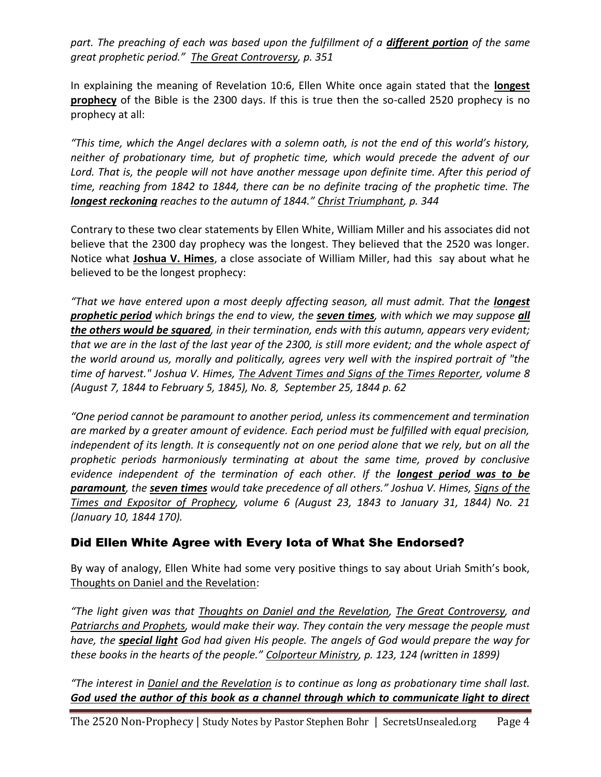*part. The preaching of each was based upon the fulfillment of a different portion of the same great prophetic period." The Great Controversy, p. 351*

In explaining the meaning of Revelation 10:6, Ellen White once again stated that the **longest prophecy** of the Bible is the 2300 days. If this is true then the so-called 2520 prophecy is no prophecy at all:

*"This time, which the Angel declares with a solemn oath, is not the end of this world's history, neither of probationary time, but of prophetic time, which would precede the advent of our*  Lord. That is, the people will not have another message upon definite time. After this period of *time, reaching from 1842 to 1844, there can be no definite tracing of the prophetic time. The longest reckoning reaches to the autumn of 1844." Christ Triumphant, p. 344* 

Contrary to these two clear statements by Ellen White, William Miller and his associates did not believe that the 2300 day prophecy was the longest. They believed that the 2520 was longer. Notice what **Joshua V. Himes**, a close associate of William Miller, had this say about what he believed to be the longest prophecy:

"That we have entered upon a most deeply affecting season, all must admit. That the **longest** *prophetic period which brings the end to view, the seven times, with which we may suppose all the others would be squared, in their termination, ends with this autumn, appears very evident; that we are in the last of the last year of the 2300, is still more evident; and the whole aspect of the world around us, morally and politically, agrees very well with the inspired portrait of "the time of harvest." Joshua V. Himes, The Advent Times and Signs of the Times Reporter, volume 8 (August 7, 1844 to February 5, 1845), No. 8, September 25, 1844 p. 62*

*"One period cannot be paramount to another period, unless its commencement and termination are marked by a greater amount of evidence. Each period must be fulfilled with equal precision, independent of its length. It is consequently not on one period alone that we rely, but on all the prophetic periods harmoniously terminating at about the same time, proved by conclusive evidence independent of the termination of each other. If the longest period was to be paramount, the seven times would take precedence of all others." Joshua V. Himes, Signs of the Times and Expositor of Prophecy, volume 6 (August 23, 1843 to January 31, 1844) No. 21 (January 10, 1844 170).*

# Did Ellen White Agree with Every Iota of What She Endorsed?

By way of analogy, Ellen White had some very positive things to say about Uriah Smith's book, Thoughts on Daniel and the Revelation:

*"The light given was that Thoughts on Daniel and the Revelation, The Great Controversy, and Patriarchs and Prophets, would make their way. They contain the very message the people must have, the special light God had given His people. The angels of God would prepare the way for these books in the hearts of the people." Colporteur Ministry, p. 123, 124 (written in 1899)*

*"The interest in Daniel and the Revelation is to continue as long as probationary time shall last. God used the author of this book as a channel through which to communicate light to direct*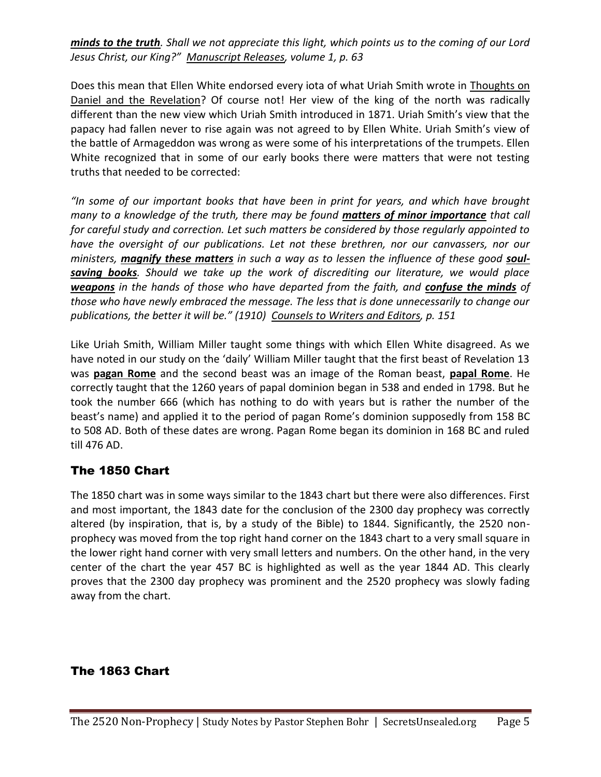*minds to the truth. Shall we not appreciate this light, which points us to the coming of our Lord Jesus Christ, our King?" Manuscript Releases, volume 1, p. 63*

Does this mean that Ellen White endorsed every iota of what Uriah Smith wrote in Thoughts on Daniel and the Revelation? Of course not! Her view of the king of the north was radically different than the new view which Uriah Smith introduced in 1871. Uriah Smith's view that the papacy had fallen never to rise again was not agreed to by Ellen White. Uriah Smith's view of the battle of Armageddon was wrong as were some of his interpretations of the trumpets. Ellen White recognized that in some of our early books there were matters that were not testing truths that needed to be corrected:

*"In some of our important books that have been in print for years, and which have brought many to a knowledge of the truth, there may be found matters of minor importance that call for careful study and correction. Let such matters be considered by those regularly appointed to have the oversight of our publications. Let not these brethren, nor our canvassers, nor our ministers, magnify these matters in such a way as to lessen the influence of these good soulsaving books. Should we take up the work of discrediting our literature, we would place weapons in the hands of those who have departed from the faith, and confuse the minds of those who have newly embraced the message. The less that is done unnecessarily to change our publications, the better it will be." (1910) Counsels to Writers and Editors, p. 151*

Like Uriah Smith, William Miller taught some things with which Ellen White disagreed. As we have noted in our study on the 'daily' William Miller taught that the first beast of Revelation 13 was **pagan Rome** and the second beast was an image of the Roman beast, **papal Rome**. He correctly taught that the 1260 years of papal dominion began in 538 and ended in 1798. But he took the number 666 (which has nothing to do with years but is rather the number of the beast's name) and applied it to the period of pagan Rome's dominion supposedly from 158 BC to 508 AD. Both of these dates are wrong. Pagan Rome began its dominion in 168 BC and ruled till 476 AD.

## The 1850 Chart

The 1850 chart was in some ways similar to the 1843 chart but there were also differences. First and most important, the 1843 date for the conclusion of the 2300 day prophecy was correctly altered (by inspiration, that is, by a study of the Bible) to 1844. Significantly, the 2520 nonprophecy was moved from the top right hand corner on the 1843 chart to a very small square in the lower right hand corner with very small letters and numbers. On the other hand, in the very center of the chart the year 457 BC is highlighted as well as the year 1844 AD. This clearly proves that the 2300 day prophecy was prominent and the 2520 prophecy was slowly fading away from the chart.

## The 1863 Chart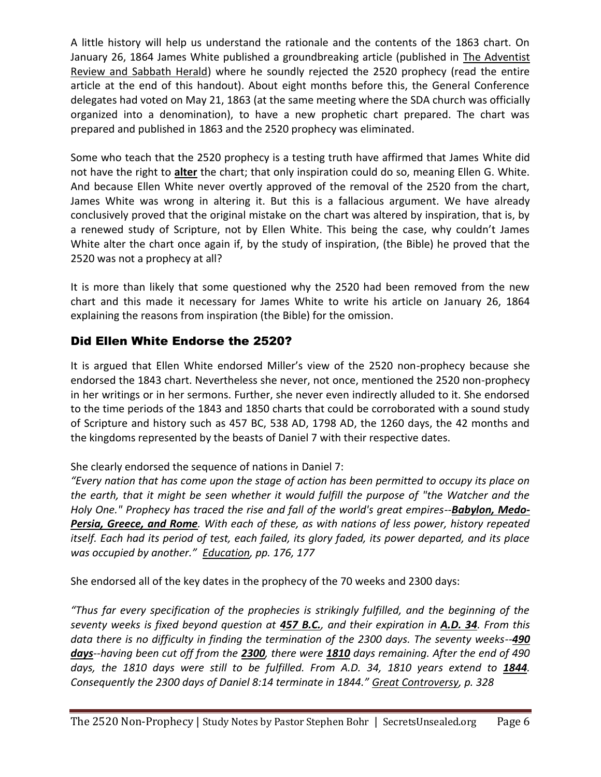A little history will help us understand the rationale and the contents of the 1863 chart. On January 26, 1864 James White published a groundbreaking article (published in The Adventist Review and Sabbath Herald) where he soundly rejected the 2520 prophecy (read the entire article at the end of this handout). About eight months before this, the General Conference delegates had voted on May 21, 1863 (at the same meeting where the SDA church was officially organized into a denomination), to have a new prophetic chart prepared. The chart was prepared and published in 1863 and the 2520 prophecy was eliminated.

Some who teach that the 2520 prophecy is a testing truth have affirmed that James White did not have the right to **alter** the chart; that only inspiration could do so, meaning Ellen G. White. And because Ellen White never overtly approved of the removal of the 2520 from the chart, James White was wrong in altering it. But this is a fallacious argument. We have already conclusively proved that the original mistake on the chart was altered by inspiration, that is, by a renewed study of Scripture, not by Ellen White. This being the case, why couldn't James White alter the chart once again if, by the study of inspiration, (the Bible) he proved that the 2520 was not a prophecy at all?

It is more than likely that some questioned why the 2520 had been removed from the new chart and this made it necessary for James White to write his article on January 26, 1864 explaining the reasons from inspiration (the Bible) for the omission.

# Did Ellen White Endorse the 2520?

It is argued that Ellen White endorsed Miller's view of the 2520 non-prophecy because she endorsed the 1843 chart. Nevertheless she never, not once, mentioned the 2520 non-prophecy in her writings or in her sermons. Further, she never even indirectly alluded to it. She endorsed to the time periods of the 1843 and 1850 charts that could be corroborated with a sound study of Scripture and history such as 457 BC, 538 AD, 1798 AD, the 1260 days, the 42 months and the kingdoms represented by the beasts of Daniel 7 with their respective dates.

## She clearly endorsed the sequence of nations in Daniel 7:

*"Every nation that has come upon the stage of action has been permitted to occupy its place on the earth, that it might be seen whether it would fulfill the purpose of "the Watcher and the Holy One." Prophecy has traced the rise and fall of the world's great empires--Babylon, Medo-Persia, Greece, and Rome. With each of these, as with nations of less power, history repeated itself. Each had its period of test, each failed, its glory faded, its power departed, and its place was occupied by another." Education, pp. 176, 177*

She endorsed all of the key dates in the prophecy of the 70 weeks and 2300 days:

*"Thus far every specification of the prophecies is strikingly fulfilled, and the beginning of the seventy weeks is fixed beyond question at 457 B.C., and their expiration in A.D. 34. From this data there is no difficulty in finding the termination of the 2300 days. The seventy weeks--490 days--having been cut off from the 2300, there were 1810 days remaining. After the end of 490*  days, the 1810 days were still to be fulfilled. From A.D. 34, 1810 years extend to 1844. *Consequently the 2300 days of Daniel 8:14 terminate in 1844." Great Controversy, p. 328*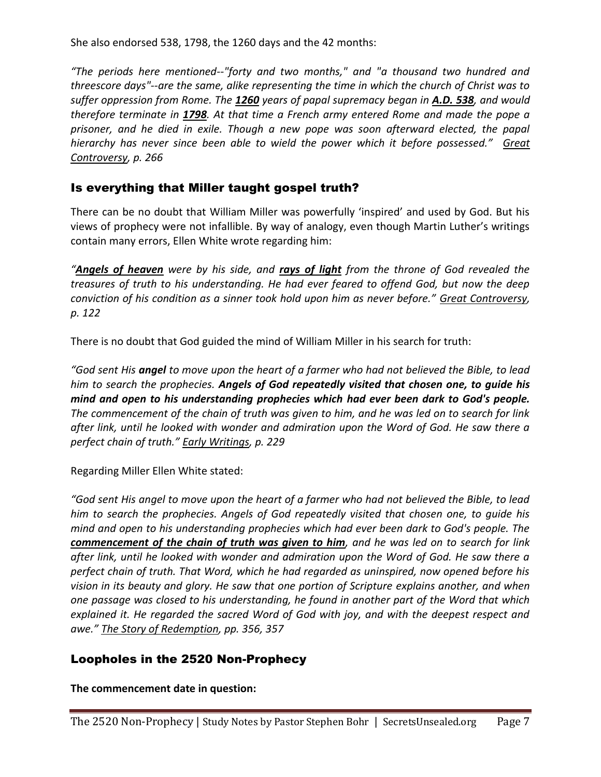She also endorsed 538, 1798, the 1260 days and the 42 months:

*"The periods here mentioned--"forty and two months," and "a thousand two hundred and threescore days"--are the same, alike representing the time in which the church of Christ was to suffer oppression from Rome. The 1260 years of papal supremacy began in A.D. 538, and would therefore terminate in 1798. At that time a French army entered Rome and made the pope a prisoner, and he died in exile. Though a new pope was soon afterward elected, the papal hierarchy has never since been able to wield the power which it before possessed." Great Controversy, p. 266* 

# Is everything that Miller taught gospel truth?

There can be no doubt that William Miller was powerfully 'inspired' and used by God. But his views of prophecy were not infallible. By way of analogy, even though Martin Luther's writings contain many errors, Ellen White wrote regarding him:

*"Angels of heaven were by his side, and rays of light from the throne of God revealed the treasures of truth to his understanding. He had ever feared to offend God, but now the deep conviction of his condition as a sinner took hold upon him as never before." Great Controversy, p. 122*

There is no doubt that God guided the mind of William Miller in his search for truth:

*"God sent His angel to move upon the heart of a farmer who had not believed the Bible, to lead him to search the prophecies. Angels of God repeatedly visited that chosen one, to guide his mind and open to his understanding prophecies which had ever been dark to God's people. The commencement of the chain of truth was given to him, and he was led on to search for link after link, until he looked with wonder and admiration upon the Word of God. He saw there a perfect chain of truth." Early Writings, p. 229*

Regarding Miller Ellen White stated:

*"God sent His angel to move upon the heart of a farmer who had not believed the Bible, to lead him to search the prophecies. Angels of God repeatedly visited that chosen one, to guide his mind and open to his understanding prophecies which had ever been dark to God's people. The commencement of the chain of truth was given to him, and he was led on to search for link after link, until he looked with wonder and admiration upon the Word of God. He saw there a perfect chain of truth. That Word, which he had regarded as uninspired, now opened before his vision in its beauty and glory. He saw that one portion of Scripture explains another, and when one passage was closed to his understanding, he found in another part of the Word that which explained it. He regarded the sacred Word of God with joy, and with the deepest respect and awe." The Story of Redemption, pp. 356, 357*

## Loopholes in the 2520 Non-Prophecy

**The commencement date in question:**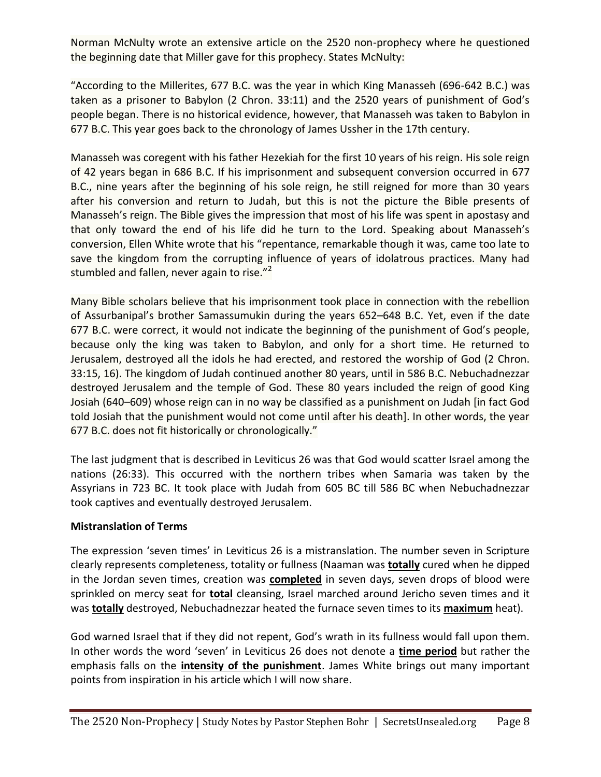Norman McNulty wrote an extensive article on the 2520 non-prophecy where he questioned the beginning date that Miller gave for this prophecy. States McNulty:

"According to the Millerites, 677 B.C. was the year in which King Manasseh (696-642 B.C.) was taken as a prisoner to Babylon (2 Chron. 33:11) and the 2520 years of punishment of God's people began. There is no historical evidence, however, that Manasseh was taken to Babylon in 677 B.C. This year goes back to the chronology of James Ussher in the 17th century.

Manasseh was coregent with his father Hezekiah for the first 10 years of his reign. His sole reign of 42 years began in 686 B.C. If his imprisonment and subsequent conversion occurred in 677 B.C., nine years after the beginning of his sole reign, he still reigned for more than 30 years after his conversion and return to Judah, but this is not the picture the Bible presents of Manasseh's reign. The Bible gives the impression that most of his life was spent in apostasy and that only toward the end of his life did he turn to the Lord. Speaking about Manasseh's conversion, Ellen White wrote that his "repentance, remarkable though it was, came too late to save the kingdom from the corrupting influence of years of idolatrous practices. Many had stumbled and fallen, never again to rise. $"^2$ 

Many Bible scholars believe that his imprisonment took place in connection with the rebellion of Assurbanipal's brother Samassumukin during the years 652–648 B.C. Yet, even if the date 677 B.C. were correct, it would not indicate the beginning of the punishment of God's people, because only the king was taken to Babylon, and only for a short time. He returned to Jerusalem, destroyed all the idols he had erected, and restored the worship of God (2 Chron. 33:15, 16). The kingdom of Judah continued another 80 years, until in 586 B.C. Nebuchadnezzar destroyed Jerusalem and the temple of God. These 80 years included the reign of good King Josiah (640–609) whose reign can in no way be classified as a punishment on Judah [in fact God told Josiah that the punishment would not come until after his death]. In other words, the year 677 B.C. does not fit historically or chronologically."

The last judgment that is described in Leviticus 26 was that God would scatter Israel among the nations (26:33). This occurred with the northern tribes when Samaria was taken by the Assyrians in 723 BC. It took place with Judah from 605 BC till 586 BC when Nebuchadnezzar took captives and eventually destroyed Jerusalem.

#### **Mistranslation of Terms**

The expression 'seven times' in Leviticus 26 is a mistranslation. The number seven in Scripture clearly represents completeness, totality or fullness (Naaman was **totally** cured when he dipped in the Jordan seven times, creation was **completed** in seven days, seven drops of blood were sprinkled on mercy seat for **total** cleansing, Israel marched around Jericho seven times and it was **totally** destroyed, Nebuchadnezzar heated the furnace seven times to its **maximum** heat).

God warned Israel that if they did not repent, God's wrath in its fullness would fall upon them. In other words the word 'seven' in Leviticus 26 does not denote a **time period** but rather the emphasis falls on the **intensity of the punishment**. James White brings out many important points from inspiration in his article which I will now share.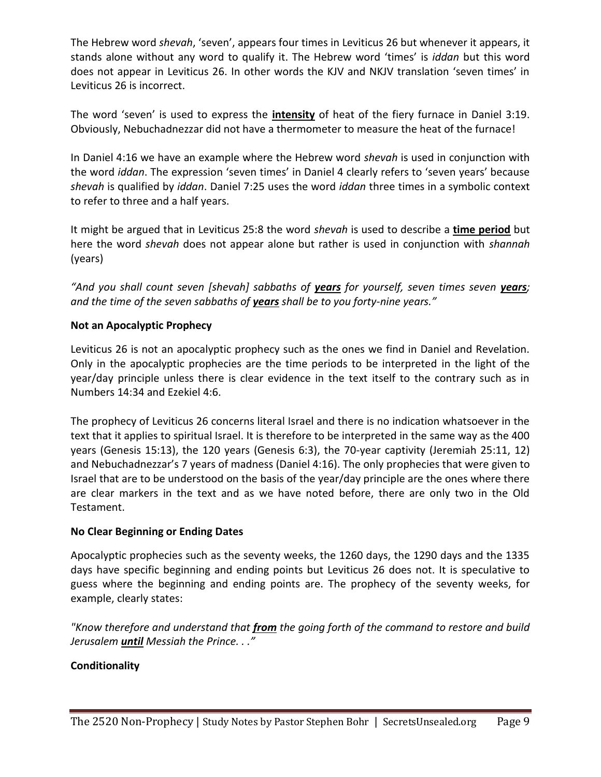The Hebrew word *shevah*, 'seven', appears four times in Leviticus 26 but whenever it appears, it stands alone without any word to qualify it. The Hebrew word 'times' is *iddan* but this word does not appear in Leviticus 26. In other words the KJV and NKJV translation 'seven times' in Leviticus 26 is incorrect.

The word 'seven' is used to express the **intensity** of heat of the fiery furnace in Daniel 3:19. Obviously, Nebuchadnezzar did not have a thermometer to measure the heat of the furnace!

In Daniel 4:16 we have an example where the Hebrew word *shevah* is used in conjunction with the word *iddan*. The expression 'seven times' in Daniel 4 clearly refers to 'seven years' because *shevah* is qualified by *iddan*. Daniel 7:25 uses the word *iddan* three times in a symbolic context to refer to three and a half years.

It might be argued that in Leviticus 25:8 the word *shevah* is used to describe a **time period** but here the word *shevah* does not appear alone but rather is used in conjunction with *shannah* (years)

*"And you shall count seven [shevah] sabbaths of years for yourself, seven times seven years; and the time of the seven sabbaths of years shall be to you forty-nine years."* 

#### **Not an Apocalyptic Prophecy**

Leviticus 26 is not an apocalyptic prophecy such as the ones we find in Daniel and Revelation. Only in the apocalyptic prophecies are the time periods to be interpreted in the light of the year/day principle unless there is clear evidence in the text itself to the contrary such as in Numbers 14:34 and Ezekiel 4:6.

The prophecy of Leviticus 26 concerns literal Israel and there is no indication whatsoever in the text that it applies to spiritual Israel. It is therefore to be interpreted in the same way as the 400 years (Genesis 15:13), the 120 years (Genesis 6:3), the 70-year captivity (Jeremiah 25:11, 12) and Nebuchadnezzar's 7 years of madness (Daniel 4:16). The only prophecies that were given to Israel that are to be understood on the basis of the year/day principle are the ones where there are clear markers in the text and as we have noted before, there are only two in the Old Testament.

#### **No Clear Beginning or Ending Dates**

Apocalyptic prophecies such as the seventy weeks, the 1260 days, the 1290 days and the 1335 days have specific beginning and ending points but Leviticus 26 does not. It is speculative to guess where the beginning and ending points are. The prophecy of the seventy weeks, for example, clearly states:

*"Know therefore and understand that from the going forth of the command to restore and build Jerusalem until Messiah the Prince. . ."*

#### **Conditionality**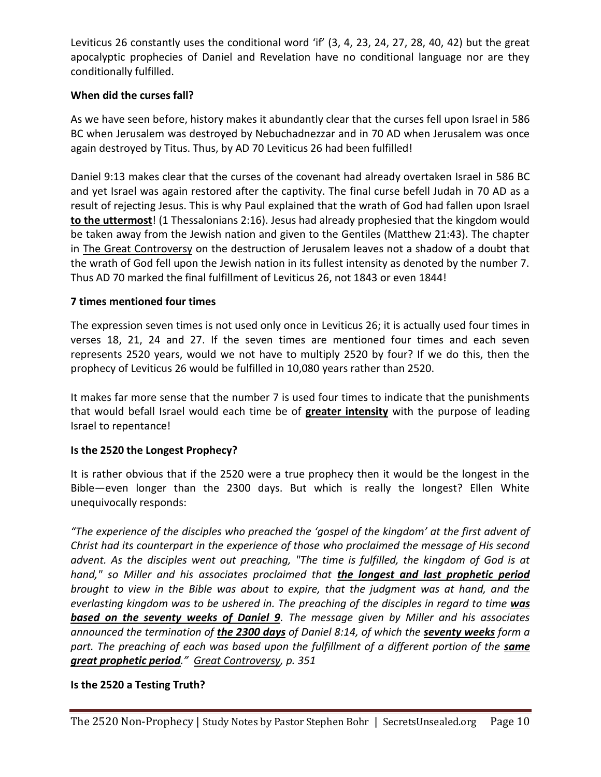Leviticus 26 constantly uses the conditional word 'if' (3, 4, 23, 24, 27, 28, 40, 42) but the great apocalyptic prophecies of Daniel and Revelation have no conditional language nor are they conditionally fulfilled.

#### **When did the curses fall?**

As we have seen before, history makes it abundantly clear that the curses fell upon Israel in 586 BC when Jerusalem was destroyed by Nebuchadnezzar and in 70 AD when Jerusalem was once again destroyed by Titus. Thus, by AD 70 Leviticus 26 had been fulfilled!

Daniel 9:13 makes clear that the curses of the covenant had already overtaken Israel in 586 BC and yet Israel was again restored after the captivity. The final curse befell Judah in 70 AD as a result of rejecting Jesus. This is why Paul explained that the wrath of God had fallen upon Israel **to the uttermost**! (1 Thessalonians 2:16). Jesus had already prophesied that the kingdom would be taken away from the Jewish nation and given to the Gentiles (Matthew 21:43). The chapter in The Great Controversy on the destruction of Jerusalem leaves not a shadow of a doubt that the wrath of God fell upon the Jewish nation in its fullest intensity as denoted by the number 7. Thus AD 70 marked the final fulfillment of Leviticus 26, not 1843 or even 1844!

#### **7 times mentioned four times**

The expression seven times is not used only once in Leviticus 26; it is actually used four times in verses 18, 21, 24 and 27. If the seven times are mentioned four times and each seven represents 2520 years, would we not have to multiply 2520 by four? If we do this, then the prophecy of Leviticus 26 would be fulfilled in 10,080 years rather than 2520.

It makes far more sense that the number 7 is used four times to indicate that the punishments that would befall Israel would each time be of **greater intensity** with the purpose of leading Israel to repentance!

## **Is the 2520 the Longest Prophecy?**

It is rather obvious that if the 2520 were a true prophecy then it would be the longest in the Bible—even longer than the 2300 days. But which is really the longest? Ellen White unequivocally responds:

*"The experience of the disciples who preached the 'gospel of the kingdom' at the first advent of Christ had its counterpart in the experience of those who proclaimed the message of His second advent. As the disciples went out preaching, "The time is fulfilled, the kingdom of God is at hand," so Miller and his associates proclaimed that the longest and last prophetic period brought to view in the Bible was about to expire, that the judgment was at hand, and the everlasting kingdom was to be ushered in. The preaching of the disciples in regard to time was based on the seventy weeks of Daniel 9. The message given by Miller and his associates announced the termination of the 2300 days of Daniel 8:14, of which the seventy weeks form a*  part. The preaching of each was based upon the fulfillment of a different portion of the **same** *great prophetic period." Great Controversy, p. 351*

## **Is the 2520 a Testing Truth?**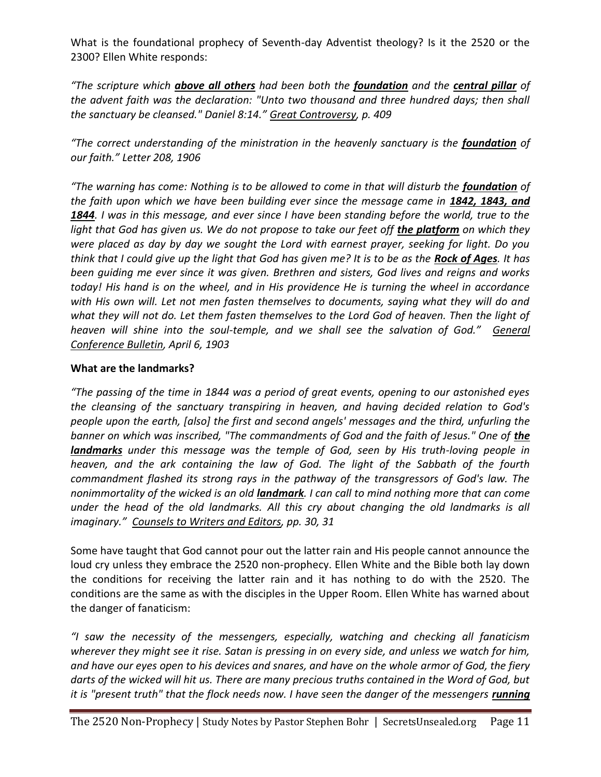What is the foundational prophecy of Seventh-day Adventist theology? Is it the 2520 or the 2300? Ellen White responds:

*"The scripture which above all others had been both the foundation and the central pillar of the advent faith was the declaration: "Unto two thousand and three hundred days; then shall the sanctuary be cleansed." Daniel 8:14." Great Controversy, p. 409*

*"The correct understanding of the ministration in the heavenly sanctuary is the foundation of our faith." Letter 208, 1906*

*"The warning has come: Nothing is to be allowed to come in that will disturb the foundation of the faith upon which we have been building ever since the message came in 1842, 1843, and 1844. I was in this message, and ever since I have been standing before the world, true to the light that God has given us. We do not propose to take our feet off the platform on which they were placed as day by day we sought the Lord with earnest prayer, seeking for light. Do you think that I could give up the light that God has given me? It is to be as the Rock of Ages. It has been guiding me ever since it was given. Brethren and sisters, God lives and reigns and works today! His hand is on the wheel, and in His providence He is turning the wheel in accordance with His own will. Let not men fasten themselves to documents, saying what they will do and what they will not do. Let them fasten themselves to the Lord God of heaven. Then the light of heaven will shine into the soul-temple, and we shall see the salvation of God." General Conference Bulletin, April 6, 1903*

#### **What are the landmarks?**

*"The passing of the time in 1844 was a period of great events, opening to our astonished eyes the cleansing of the sanctuary transpiring in heaven, and having decided relation to God's people upon the earth, [also] the first and second angels' messages and the third, unfurling the*  banner on which was inscribed, "The commandments of God and the faith of Jesus." One of the *landmarks under this message was the temple of God, seen by His truth-loving people in heaven, and the ark containing the law of God. The light of the Sabbath of the fourth commandment flashed its strong rays in the pathway of the transgressors of God's law. The nonimmortality of the wicked is an old landmark. I can call to mind nothing more that can come under the head of the old landmarks. All this cry about changing the old landmarks is all imaginary." Counsels to Writers and Editors, pp. 30, 31* 

Some have taught that God cannot pour out the latter rain and His people cannot announce the loud cry unless they embrace the 2520 non-prophecy. Ellen White and the Bible both lay down the conditions for receiving the latter rain and it has nothing to do with the 2520. The conditions are the same as with the disciples in the Upper Room. Ellen White has warned about the danger of fanaticism:

*"I saw the necessity of the messengers, especially, watching and checking all fanaticism wherever they might see it rise. Satan is pressing in on every side, and unless we watch for him, and have our eyes open to his devices and snares, and have on the whole armor of God, the fiery darts of the wicked will hit us. There are many precious truths contained in the Word of God, but it is "present truth" that the flock needs now. I have seen the danger of the messengers <i>running*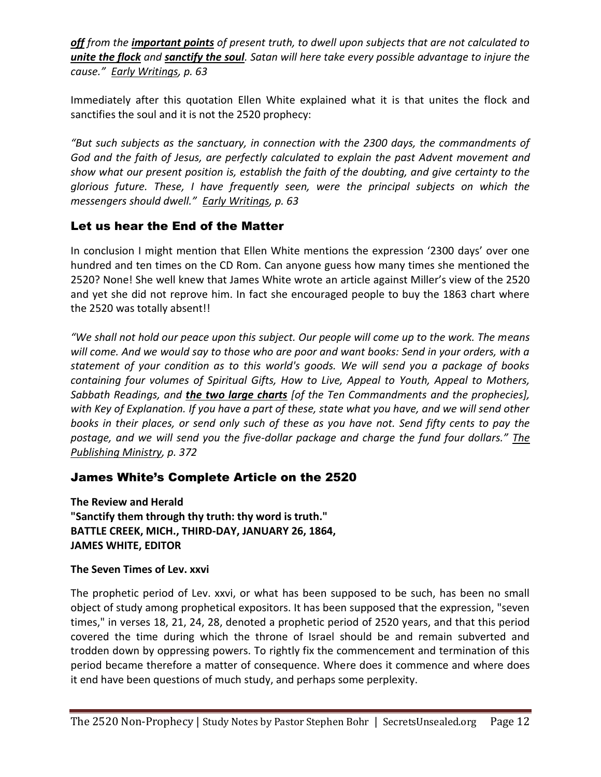*off from the important points of present truth, to dwell upon subjects that are not calculated to unite the flock and sanctify the soul. Satan will here take every possible advantage to injure the cause." Early Writings, p. 63*

Immediately after this quotation Ellen White explained what it is that unites the flock and sanctifies the soul and it is not the 2520 prophecy:

*"But such subjects as the sanctuary, in connection with the 2300 days, the commandments of God and the faith of Jesus, are perfectly calculated to explain the past Advent movement and show what our present position is, establish the faith of the doubting, and give certainty to the glorious future. These, I have frequently seen, were the principal subjects on which the messengers should dwell." Early Writings, p. 63*

# Let us hear the End of the Matter

In conclusion I might mention that Ellen White mentions the expression '2300 days' over one hundred and ten times on the CD Rom. Can anyone guess how many times she mentioned the 2520? None! She well knew that James White wrote an article against Miller's view of the 2520 and yet she did not reprove him. In fact she encouraged people to buy the 1863 chart where the 2520 was totally absent!!

*"We shall not hold our peace upon this subject. Our people will come up to the work. The means will come. And we would say to those who are poor and want books: Send in your orders, with a statement of your condition as to this world's goods. We will send you a package of books containing four volumes of Spiritual Gifts, How to Live, Appeal to Youth, Appeal to Mothers, Sabbath Readings, and the two large charts [of the Ten Commandments and the prophecies], with Key of Explanation. If you have a part of these, state what you have, and we will send other books in their places, or send only such of these as you have not. Send fifty cents to pay the postage, and we will send you the five-dollar package and charge the fund four dollars." The Publishing Ministry, p. 372*

## James White's Complete Article on the 2520

**The Review and Herald "Sanctify them through thy truth: thy word is truth." BATTLE CREEK, MICH., THIRD-DAY, JANUARY 26, 1864, JAMES WHITE, EDITOR**

#### **The Seven Times of Lev. xxvi**

The prophetic period of Lev. xxvi, or what has been supposed to be such, has been no small object of study among prophetical expositors. It has been supposed that the expression, "seven times," in verses 18, 21, 24, 28, denoted a prophetic period of 2520 years, and that this period covered the time during which the throne of Israel should be and remain subverted and trodden down by oppressing powers. To rightly fix the commencement and termination of this period became therefore a matter of consequence. Where does it commence and where does it end have been questions of much study, and perhaps some perplexity.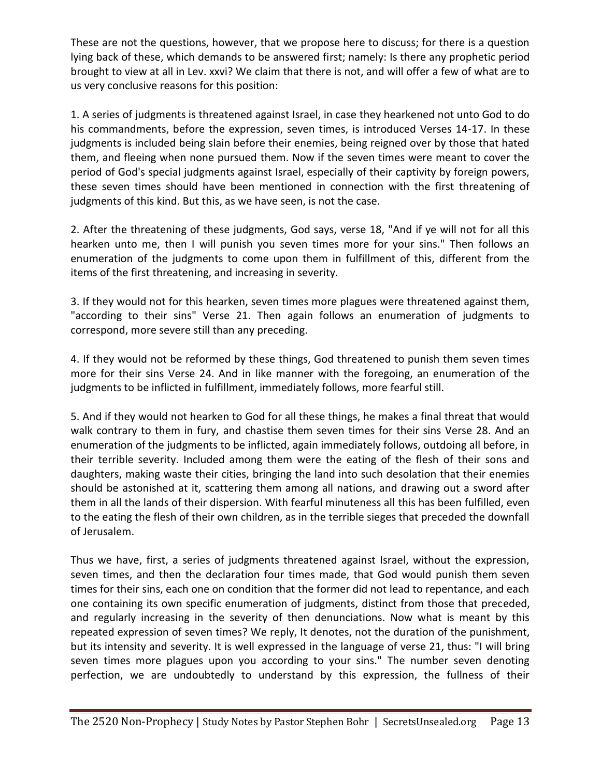These are not the questions, however, that we propose here to discuss; for there is a question lying back of these, which demands to be answered first; namely: Is there any prophetic period brought to view at all in Lev. xxvi? We claim that there is not, and will offer a few of what are to us very conclusive reasons for this position:

1. A series of judgments is threatened against Israel, in case they hearkened not unto God to do his commandments, before the expression, seven times, is introduced Verses 14-17. In these judgments is included being slain before their enemies, being reigned over by those that hated them, and fleeing when none pursued them. Now if the seven times were meant to cover the period of God's special judgments against Israel, especially of their captivity by foreign powers, these seven times should have been mentioned in connection with the first threatening of judgments of this kind. But this, as we have seen, is not the case.

2. After the threatening of these judgments, God says, verse 18, "And if ye will not for all this hearken unto me, then I will punish you seven times more for your sins." Then follows an enumeration of the judgments to come upon them in fulfillment of this, different from the items of the first threatening, and increasing in severity.

3. If they would not for this hearken, seven times more plagues were threatened against them, "according to their sins" Verse 21. Then again follows an enumeration of judgments to correspond, more severe still than any preceding.

4. If they would not be reformed by these things, God threatened to punish them seven times more for their sins Verse 24. And in like manner with the foregoing, an enumeration of the judgments to be inflicted in fulfillment, immediately follows, more fearful still.

5. And if they would not hearken to God for all these things, he makes a final threat that would walk contrary to them in fury, and chastise them seven times for their sins Verse 28. And an enumeration of the judgments to be inflicted, again immediately follows, outdoing all before, in their terrible severity. Included among them were the eating of the flesh of their sons and daughters, making waste their cities, bringing the land into such desolation that their enemies should be astonished at it, scattering them among all nations, and drawing out a sword after them in all the lands of their dispersion. With fearful minuteness all this has been fulfilled, even to the eating the flesh of their own children, as in the terrible sieges that preceded the downfall of Jerusalem.

Thus we have, first, a series of judgments threatened against Israel, without the expression, seven times, and then the declaration four times made, that God would punish them seven times for their sins, each one on condition that the former did not lead to repentance, and each one containing its own specific enumeration of judgments, distinct from those that preceded, and regularly increasing in the severity of then denunciations. Now what is meant by this repeated expression of seven times? We reply, It denotes, not the duration of the punishment, but its intensity and severity. It is well expressed in the language of verse 21, thus: "I will bring seven times more plagues upon you according to your sins." The number seven denoting perfection, we are undoubtedly to understand by this expression, the fullness of their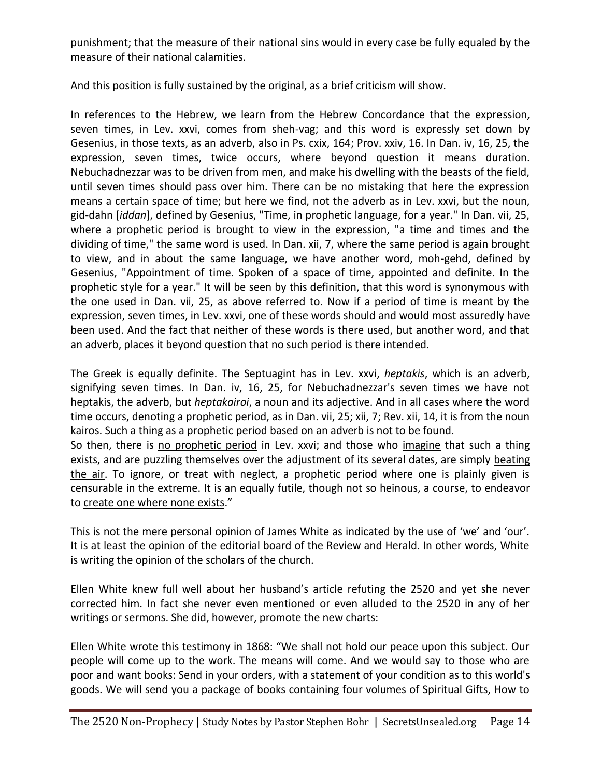punishment; that the measure of their national sins would in every case be fully equaled by the measure of their national calamities.

And this position is fully sustained by the original, as a brief criticism will show.

In references to the Hebrew, we learn from the Hebrew Concordance that the expression, seven times, in Lev. xxvi, comes from sheh-vag; and this word is expressly set down by Gesenius, in those texts, as an adverb, also in Ps. cxix, 164; Prov. xxiv, 16. In Dan. iv, 16, 25, the expression, seven times, twice occurs, where beyond question it means duration. Nebuchadnezzar was to be driven from men, and make his dwelling with the beasts of the field, until seven times should pass over him. There can be no mistaking that here the expression means a certain space of time; but here we find, not the adverb as in Lev. xxvi, but the noun, gid-dahn [*iddan*], defined by Gesenius, "Time, in prophetic language, for a year." In Dan. vii, 25, where a prophetic period is brought to view in the expression, "a time and times and the dividing of time," the same word is used. In Dan. xii, 7, where the same period is again brought to view, and in about the same language, we have another word, moh-gehd, defined by Gesenius, "Appointment of time. Spoken of a space of time, appointed and definite. In the prophetic style for a year." It will be seen by this definition, that this word is synonymous with the one used in Dan. vii, 25, as above referred to. Now if a period of time is meant by the expression, seven times, in Lev. xxvi, one of these words should and would most assuredly have been used. And the fact that neither of these words is there used, but another word, and that an adverb, places it beyond question that no such period is there intended.

The Greek is equally definite. The Septuagint has in Lev. xxvi, *heptakis*, which is an adverb, signifying seven times. In Dan. iv, 16, 25, for Nebuchadnezzar's seven times we have not heptakis, the adverb, but *heptakairoi*, a noun and its adjective. And in all cases where the word time occurs, denoting a prophetic period, as in Dan. vii, 25; xii, 7; Rev. xii, 14, it is from the noun kairos. Such a thing as a prophetic period based on an adverb is not to be found.

So then, there is no prophetic period in Lev. xxvi; and those who imagine that such a thing exists, and are puzzling themselves over the adjustment of its several dates, are simply beating the air. To ignore, or treat with neglect, a prophetic period where one is plainly given is censurable in the extreme. It is an equally futile, though not so heinous, a course, to endeavor to create one where none exists."

This is not the mere personal opinion of James White as indicated by the use of 'we' and 'our'. It is at least the opinion of the editorial board of the Review and Herald. In other words, White is writing the opinion of the scholars of the church.

Ellen White knew full well about her husband's article refuting the 2520 and yet she never corrected him. In fact she never even mentioned or even alluded to the 2520 in any of her writings or sermons. She did, however, promote the new charts:

Ellen White wrote this testimony in 1868: "We shall not hold our peace upon this subject. Our people will come up to the work. The means will come. And we would say to those who are poor and want books: Send in your orders, with a statement of your condition as to this world's goods. We will send you a package of books containing four volumes of Spiritual Gifts, How to